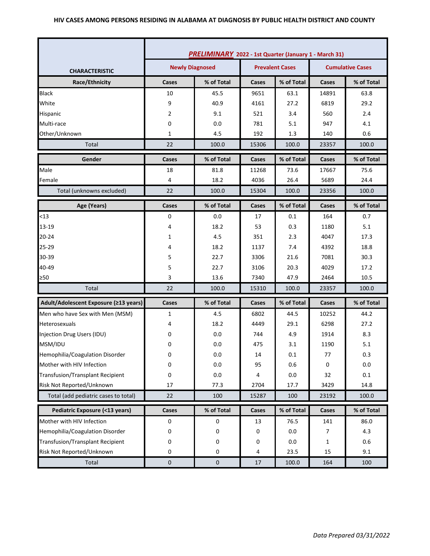### **HIV CASES AMONG PERSONS RESIDING IN ALABAMA AT DIAGNOSIS BY PUBLIC HEALTH DISTRICT AND COUNTY**

|                                         | <b>PRELIMINARY</b> 2022 - 1st Quarter (January 1 - March 31) |            |       |            |                         |            |
|-----------------------------------------|--------------------------------------------------------------|------------|-------|------------|-------------------------|------------|
| <b>CHARACTERISTIC</b>                   | <b>Newly Diagnosed</b><br><b>Prevalent Cases</b>             |            |       |            | <b>Cumulative Cases</b> |            |
| Race/Ethnicity                          | Cases                                                        | % of Total | Cases | % of Total | Cases                   | % of Total |
| <b>Black</b>                            | 10                                                           | 45.5       | 9651  | 63.1       | 14891                   | 63.8       |
| White                                   | 9                                                            | 40.9       | 4161  | 27.2       | 6819                    | 29.2       |
| Hispanic                                | 2                                                            | 9.1        | 521   | 3.4        | 560                     | 2.4        |
| Multi-race                              | 0                                                            | 0.0        | 781   | 5.1        | 947                     | 4.1        |
| Other/Unknown                           | 1                                                            | 4.5        | 192   | 1.3        | 140                     | 0.6        |
| Total                                   | 22                                                           | 100.0      | 15306 | 100.0      | 23357                   | 100.0      |
| Gender                                  | Cases                                                        | % of Total | Cases | % of Total | Cases                   | % of Total |
| Male                                    | 18                                                           | 81.8       | 11268 | 73.6       | 17667                   | 75.6       |
| Female                                  | 4                                                            | 18.2       | 4036  | 26.4       | 5689                    | 24.4       |
| Total (unknowns excluded)               | 22                                                           | 100.0      | 15304 | 100.0      | 23356                   | 100.0      |
| Age (Years)                             | Cases                                                        | % of Total | Cases | % of Total | Cases                   | % of Total |
| < 13                                    | 0                                                            | 0.0        | 17    | 0.1        | 164                     | 0.7        |
| 13-19                                   | 4                                                            | 18.2       | 53    | 0.3        | 1180                    | 5.1        |
| $20 - 24$                               | 1                                                            | 4.5        | 351   | 2.3        | 4047                    | 17.3       |
| 25-29                                   | 4                                                            | 18.2       | 1137  | 7.4        | 4392                    | 18.8       |
| 30-39                                   | 5                                                            | 22.7       | 3306  | 21.6       | 7081                    | 30.3       |
| 40-49                                   | 5                                                            | 22.7       | 3106  | 20.3       | 4029                    | 17.2       |
| ≥50                                     | 3                                                            | 13.6       | 7340  | 47.9       | 2464                    | 10.5       |
| Total                                   | 22                                                           | 100.0      | 15310 | 100.0      | 23357                   | 100.0      |
| Adult/Adolescent Exposure (≥13 years)   | Cases                                                        | % of Total | Cases | % of Total | Cases                   | % of Total |
| Men who have Sex with Men (MSM)         | 1                                                            | 4.5        | 6802  | 44.5       | 10252                   | 44.2       |
| Heterosexuals                           | 4                                                            | 18.2       | 4449  | 29.1       | 6298                    | 27.2       |
| Injection Drug Users (IDU)              | 0                                                            | 0.0        | 744   | 4.9        | 1914                    | 8.3        |
| MSM/IDU                                 | 0                                                            | 0.0        | 475   | 3.1        | 1190                    | 5.1        |
| Hemophilia/Coagulation Disorder         | 0                                                            | 0.0        | 14    | 0.1        | 77                      | 0.3        |
| Mother with HIV Infection               | 0                                                            | 0.0        | 95    | 0.6        | 0                       | 0.0        |
| <b>Transfusion/Transplant Recipient</b> | 0                                                            | 0.0        | 4     | 0.0        | 32                      | $0.1\,$    |
| Risk Not Reported/Unknown               | 17                                                           | 77.3       | 2704  | 17.7       | 3429                    | 14.8       |
| Total (add pediatric cases to total)    | 22                                                           | 100        | 15287 | 100        | 23192                   | 100.0      |
| Pediatric Exposure (<13 years)          | Cases                                                        | % of Total | Cases | % of Total | Cases                   | % of Total |
| Mother with HIV Infection               | $\pmb{0}$                                                    | 0          | 13    | 76.5       | 141                     | 86.0       |
| Hemophilia/Coagulation Disorder         | 0                                                            | 0          | 0     | 0.0        | 7                       | 4.3        |
| <b>Transfusion/Transplant Recipient</b> | 0                                                            | 0          | 0     | 0.0        | 1                       | 0.6        |
| Risk Not Reported/Unknown               | 0                                                            | 0          | 4     | 23.5       | 15                      | 9.1        |
| Total                                   | $\pmb{0}$                                                    | $\pmb{0}$  | 17    | 100.0      | 164                     | 100        |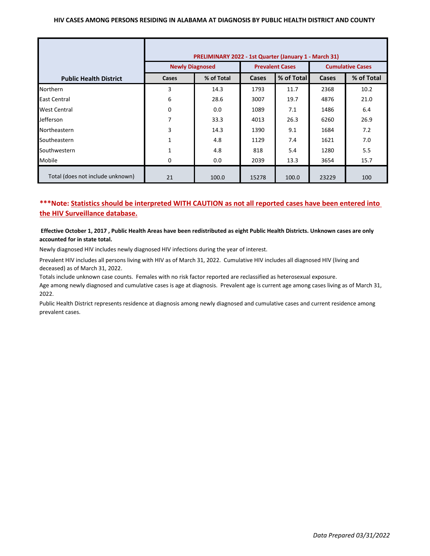## **HIV CASES AMONG PERSONS RESIDING IN ALABAMA AT DIAGNOSIS BY PUBLIC HEALTH DISTRICT AND COUNTY**

|                                  | PRELIMINARY 2022 - 1st Quarter (January 1 - March 31) |            |                        |            |                         |            |  |
|----------------------------------|-------------------------------------------------------|------------|------------------------|------------|-------------------------|------------|--|
|                                  | <b>Newly Diagnosed</b>                                |            | <b>Prevalent Cases</b> |            | <b>Cumulative Cases</b> |            |  |
| <b>Public Health District</b>    | Cases                                                 | % of Total | Cases                  | % of Total | Cases                   | % of Total |  |
| <b>Northern</b>                  | 3                                                     | 14.3       | 1793                   | 11.7       | 2368                    | 10.2       |  |
| East Central                     | 6                                                     | 28.6       | 3007                   | 19.7       | 4876                    | 21.0       |  |
| <b>West Central</b>              | 0                                                     | 0.0        | 1089                   | 7.1        | 1486                    | 6.4        |  |
| Jefferson                        | 7                                                     | 33.3       | 4013                   | 26.3       | 6260                    | 26.9       |  |
| Northeastern                     | 3                                                     | 14.3       | 1390                   | 9.1        | 1684                    | 7.2        |  |
| Southeastern                     | 1                                                     | 4.8        | 1129                   | 7.4        | 1621                    | 7.0        |  |
| Southwestern                     | 1                                                     | 4.8        | 818                    | 5.4        | 1280                    | 5.5        |  |
| Mobile                           | 0                                                     | 0.0        | 2039                   | 13.3       | 3654                    | 15.7       |  |
| Total (does not include unknown) | 21                                                    | 100.0      | 15278                  | 100.0      | 23229                   | 100        |  |

# **\*\*\*Note: Statistics should be interpreted WITH CAUTION as not all reported cases have been entered into the HIV Surveillance database.**

### **Effective October 1, 2017 , Public Health Areas have been redistributed as eight Public Health Districts. Unknown cases are only accounted for in state total.**

Newly diagnosed HIV includes newly diagnosed HIV infections during the year of interest.

Prevalent HIV includes all persons living with HIV as of March 31, 2022. Cumulative HIV includes all diagnosed HIV (living and deceased) as of March 31, 2022.

Totals include unknown case counts. Females with no risk factor reported are reclassified as heterosexual exposure.

Age among newly diagnosed and cumulative cases is age at diagnosis. Prevalent age is current age among cases living as of March 31, 2022.

Public Health District represents residence at diagnosis among newly diagnosed and cumulative cases and current residence among prevalent cases.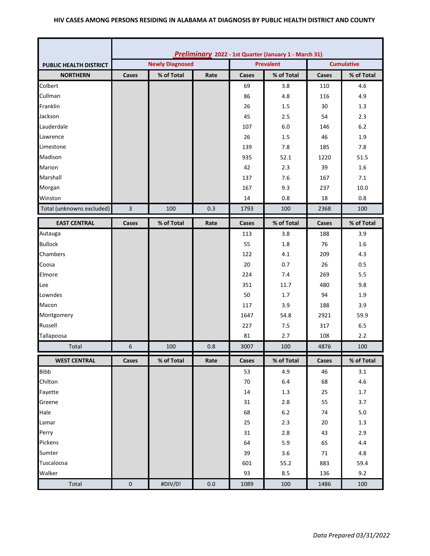## **HIV CASES AMONG PERSONS RESIDING IN ALABAMA AT DIAGNOSIS BY PUBLIC HEALTH DISTRICT AND COUNTY**

|                               | Preliminary 2022 - 1st Quarter (January 1 - March 31) |            |      |       |                  |                   |            |
|-------------------------------|-------------------------------------------------------|------------|------|-------|------------------|-------------------|------------|
| <b>PUBLIC HEALTH DISTRICT</b> | <b>Newly Diagnosed</b>                                |            |      |       | <b>Prevalent</b> | <b>Cumulative</b> |            |
| <b>NORTHERN</b>               | Cases                                                 | % of Total | Rate | Cases | % of Total       | Cases             | % of Total |
| Colbert                       |                                                       |            |      | 69    | 3.8              | 110               | 4.6        |
| Cullman                       |                                                       |            |      | 86    | 4.8              | 116               | 4.9        |
| Franklin                      |                                                       |            |      | 26    | 1.5              | 30                | 1.3        |
| Jackson                       |                                                       |            |      | 45    | 2.5              | 54                | 2.3        |
| Lauderdale                    |                                                       |            |      | 107   | 6.0              | 146               | $6.2$      |
| Lawrence                      |                                                       |            |      | 26    | 1.5              | 46                | 1.9        |
| Limestone                     |                                                       |            |      | 139   | 7.8              | 185               | 7.8        |
| Madison                       |                                                       |            |      | 935   | 52.1             | 1220              | 51.5       |
| Marion                        |                                                       |            |      | 42    | 2.3              | 39                | 1.6        |
| Marshall                      |                                                       |            |      | 137   | 7.6              | 167               | 7.1        |
| Morgan                        |                                                       |            |      | 167   | 9.3              | 237               | 10.0       |
| Winston                       |                                                       |            |      | 14    | 0.8              | 18                | 0.8        |
| Total (unknowns excluded)     | 3                                                     | 100        | 0.3  | 1793  | 100              | 2368              | 100        |
| <b>EAST CENTRAL</b>           | Cases                                                 | % of Total | Rate | Cases | % of Total       | Cases             | % of Total |
| Autauga                       |                                                       |            |      | 113   | 3.8              | 188               | 3.9        |
| <b>Bullock</b>                |                                                       |            |      | 55    | 1.8              | 76                | 1.6        |
| Chambers                      |                                                       |            |      | 122   | 4.1              | 209               | 4.3        |
| Coosa                         |                                                       |            |      | 20    | 0.7              | 26                | 0.5        |
| Elmore                        |                                                       |            |      | 224   | 7.4              | 269               | 5.5        |
| Lee                           |                                                       |            |      | 351   | 11.7             | 480               | 9.8        |
| Lowndes                       |                                                       |            |      | 50    | 1.7              | 94                | 1.9        |
| Macon                         |                                                       |            |      | 117   | 3.9              | 188               | 3.9        |
| Montgomery                    |                                                       |            |      | 1647  | 54.8             | 2921              | 59.9       |
| Russell                       |                                                       |            |      | 227   | 7.5              | 317               | 6.5        |
| Tallapoosa                    |                                                       |            |      | 81    | 2.7              | 108               | 2.2        |
| Total                         | 6                                                     | 100        | 0.8  | 3007  | 100              | 4876              | 100        |
| <b>WEST CENTRAL</b>           | Cases                                                 | % of Total | Rate | Cases | % of Total       | Cases             | % of Total |
| <b>Bibb</b>                   |                                                       |            |      | 53    | 4.9              | 46                | 3.1        |
| Chilton                       |                                                       |            |      | 70    | $6.4\,$          | 68                | 4.6        |
| Fayette                       |                                                       |            |      | 14    | 1.3              | 25                | 1.7        |
| Greene                        |                                                       |            |      | 31    | $2.8\,$          | 55                | 3.7        |
| Hale                          |                                                       |            |      | 68    | $6.2\,$          | 74                | $5.0\,$    |
| Lamar                         |                                                       |            |      | 25    | 2.3              | 20                | $1.3\,$    |
| Perry                         |                                                       |            |      | 31    | $2.8$            | 43                | 2.9        |
| Pickens                       |                                                       |            |      | 64    | 5.9              | 65                | 4.4        |
| Sumter                        |                                                       |            |      | 39    | 3.6              | 71                | 4.8        |
| Tuscaloosa                    |                                                       |            |      | 601   | 55.2             | 883               | 59.4       |
| Walker                        |                                                       |            |      | 93    | $8.5\,$          | 136               | 9.2        |
| Total                         | $\pmb{0}$                                             | #DIV/0!    | 0.0  | 1089  | 100              | 1486              | 100        |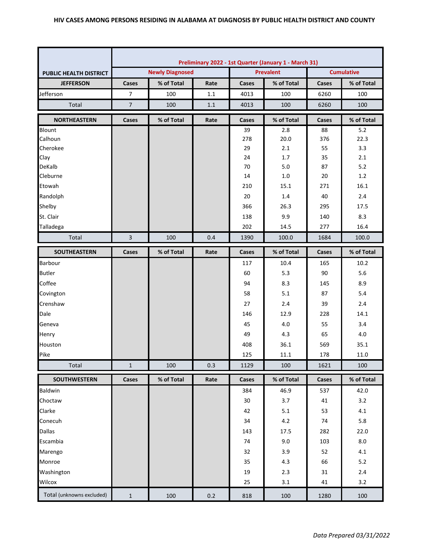|                               | Preliminary 2022 - 1st Quarter (January 1 - March 31) |                        |      |                     |                  |                   |            |  |
|-------------------------------|-------------------------------------------------------|------------------------|------|---------------------|------------------|-------------------|------------|--|
| <b>PUBLIC HEALTH DISTRICT</b> |                                                       | <b>Newly Diagnosed</b> |      |                     | <b>Prevalent</b> | <b>Cumulative</b> |            |  |
| <b>JEFFERSON</b>              | Cases                                                 | % of Total             | Rate | % of Total<br>Cases |                  | Cases             | % of Total |  |
| Jefferson                     | $\overline{7}$                                        | 100                    | 1.1  | 4013                | 100              | 6260              | 100        |  |
| Total                         | $\overline{7}$                                        | 100                    | 1.1  | 4013                | 100              | 6260              | 100        |  |
| <b>NORTHEASTERN</b>           | Cases                                                 | % of Total             | Rate | Cases               | % of Total       | Cases             | % of Total |  |
| Blount                        |                                                       |                        |      | 39                  | 2.8              | 88                | 5.2        |  |
| Calhoun                       |                                                       |                        |      | 278                 | 20.0             | 376               | 22.3       |  |
| Cherokee                      |                                                       |                        |      | 29                  | 2.1              | 55                | 3.3        |  |
| Clay                          |                                                       |                        |      | 24                  | 1.7              | 35                | 2.1        |  |
| DeKalb                        |                                                       |                        |      | 70                  | 5.0              | 87                | $5.2$      |  |
| Cleburne                      |                                                       |                        |      | 14                  | 1.0              | 20                | 1.2        |  |
| Etowah                        |                                                       |                        |      | 210                 | 15.1             | 271               | 16.1       |  |
| Randolph                      |                                                       |                        |      | 20                  | 1.4              | 40                | 2.4        |  |
| Shelby                        |                                                       |                        |      | 366                 | 26.3             | 295               | 17.5       |  |
| St. Clair                     |                                                       |                        |      | 138                 | 9.9              | 140               | 8.3        |  |
| Talladega                     |                                                       |                        |      | 202                 | 14.5             | 277               | 16.4       |  |
| Total                         | 3                                                     | 100                    | 0.4  | 1390                | 100.0            | 1684              | 100.0      |  |
| SOUTHEASTERN                  | Cases                                                 | % of Total             | Rate | Cases               | % of Total       | <b>Cases</b>      | % of Total |  |
| Barbour                       |                                                       |                        |      | 117                 | 10.4             | 165               | 10.2       |  |
| <b>Butler</b>                 |                                                       |                        |      | 60                  | 5.3              | 90                | 5.6        |  |
| Coffee                        |                                                       |                        |      | 94                  | 8.3              | 145               | 8.9        |  |
| Covington                     |                                                       |                        |      | 58                  | 5.1              | 87                | 5.4        |  |
| Crenshaw                      |                                                       |                        |      | 27                  | 2.4              | 39                | 2.4        |  |
| Dale                          |                                                       |                        |      | 146                 | 12.9             | 228               | 14.1       |  |
| Geneva                        |                                                       |                        |      | 45                  | 4.0              | 55                | 3.4        |  |
| Henry                         |                                                       |                        |      | 49                  | 4.3              | 65                | 4.0        |  |
| Houston                       |                                                       |                        |      | 408                 | 36.1             | 569               | 35.1       |  |
| Pike                          |                                                       |                        |      | 125                 | 11.1             | 178               | 11.0       |  |
| Total                         | $\mathbf{1}$                                          | 100                    | 0.3  | 1129                | 100              | 1621              | 100        |  |
| <b>SOUTHWESTERN</b>           | Cases                                                 | % of Total             | Rate | Cases               | % of Total       | Cases             | % of Total |  |
| Baldwin                       |                                                       |                        |      | 384                 | 46.9             | 537               | 42.0       |  |
| Choctaw                       |                                                       |                        |      | 30                  | 3.7              | 41                | 3.2        |  |
| Clarke                        |                                                       |                        |      | 42                  | 5.1              | 53                | 4.1        |  |
| Conecuh                       |                                                       |                        |      | 34                  | $4.2\,$          | 74                | 5.8        |  |
| <b>Dallas</b>                 |                                                       |                        |      | 143                 | 17.5             | 282               | 22.0       |  |
| Escambia                      |                                                       |                        |      | 74                  | 9.0              | 103               | 8.0        |  |
| Marengo                       |                                                       |                        |      | 32                  | 3.9              | 52                | 4.1        |  |
| Monroe                        |                                                       |                        |      | 35                  | 4.3              | 66                | $5.2$      |  |
| Washington                    |                                                       |                        |      | 19                  | 2.3              | 31                | 2.4        |  |
| Wilcox                        |                                                       |                        |      | 25                  | 3.1              | 41                | 3.2        |  |
| Total (unknowns excluded)     | $\mathbf{1}$                                          | 100                    | 0.2  | 818                 | 100              | 1280              | 100        |  |